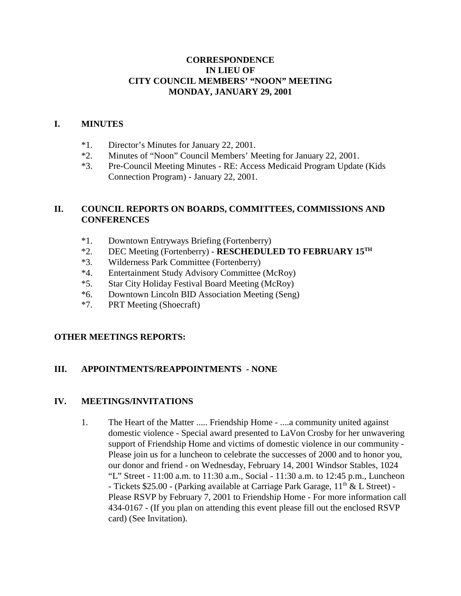## **CORRESPONDENCE IN LIEU OF CITY COUNCIL MEMBERS' "NOON" MEETING MONDAY, JANUARY 29, 2001**

### **I. MINUTES**

- \*1. Director's Minutes for January 22, 2001.
- \*2. Minutes of "Noon" Council Members' Meeting for January 22, 2001.
- \*3. Pre-Council Meeting Minutes RE: Access Medicaid Program Update (Kids Connection Program) - January 22, 2001.

# **II. COUNCIL REPORTS ON BOARDS, COMMITTEES, COMMISSIONS AND CONFERENCES**

- \*1. Downtown Entryways Briefing (Fortenberry)
- \*2. DEC Meeting (Fortenberry) **RESCHEDULED TO FEBRUARY 15TH**
- \*3. Wilderness Park Committee (Fortenberry)
- \*4. Entertainment Study Advisory Committee (McRoy)
- \*5. Star City Holiday Festival Board Meeting (McRoy)
- \*6. Downtown Lincoln BID Association Meeting (Seng)
- \*7. PRT Meeting (Shoecraft)

## **OTHER MEETINGS REPORTS:**

## **III. APPOINTMENTS/REAPPOINTMENTS - NONE**

## **IV. MEETINGS/INVITATIONS**

1. The Heart of the Matter ..... Friendship Home - ....a community united against domestic violence - Special award presented to LaVon Crosby for her unwavering support of Friendship Home and victims of domestic violence in our community - Please join us for a luncheon to celebrate the successes of 2000 and to honor you, our donor and friend - on Wednesday, February 14, 2001 Windsor Stables, 1024 "L" Street - 11:00 a.m. to 11:30 a.m., Social - 11:30 a.m. to 12:45 p.m., Luncheon - Tickets \$25.00 - (Parking available at Carriage Park Garage,  $11<sup>th</sup> \& L$  Street) -Please RSVP by February 7, 2001 to Friendship Home - For more information call 434-0167 - (If you plan on attending this event please fill out the enclosed RSVP card) (See Invitation).